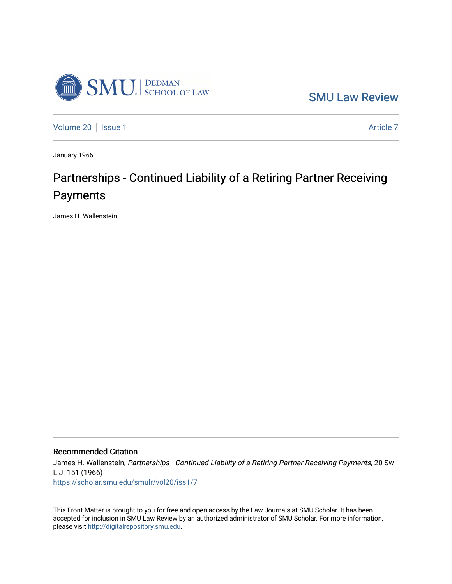

[SMU Law Review](https://scholar.smu.edu/smulr) 

[Volume 20](https://scholar.smu.edu/smulr/vol20) | [Issue 1](https://scholar.smu.edu/smulr/vol20/iss1) Article 7

January 1966

# Partnerships - Continued Liability of a Retiring Partner Receiving Payments

James H. Wallenstein

# Recommended Citation

James H. Wallenstein, Partnerships - Continued Liability of a Retiring Partner Receiving Payments, 20 Sw L.J. 151 (1966) [https://scholar.smu.edu/smulr/vol20/iss1/7](https://scholar.smu.edu/smulr/vol20/iss1/7?utm_source=scholar.smu.edu%2Fsmulr%2Fvol20%2Fiss1%2F7&utm_medium=PDF&utm_campaign=PDFCoverPages) 

This Front Matter is brought to you for free and open access by the Law Journals at SMU Scholar. It has been accepted for inclusion in SMU Law Review by an authorized administrator of SMU Scholar. For more information, please visit [http://digitalrepository.smu.edu.](http://digitalrepository.smu.edu/)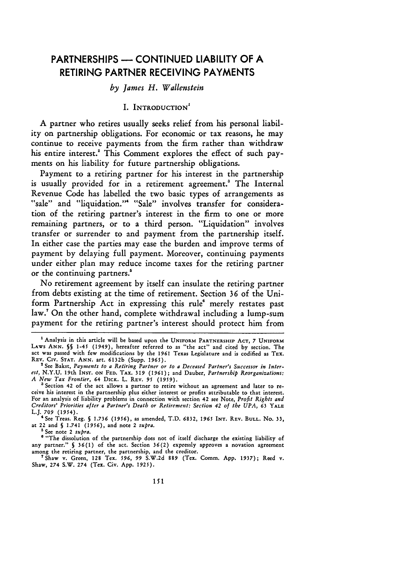# PARTNERSHIPS **- CONTINUED** LIABILITY OF **A** RETIRING PARTNER **RECEIVING PAYMENTS**

#### *by James H. Wallenstein*

#### I. INTRODUCTION<sup>1</sup>

A partner who retires usually seeks relief from his personal liability on partnership obligations. For economic or tax reasons, he may continue to receive payments from the firm rather than withdraw his entire interest.' This Comment explores the effect of such payments on his liability for future partnership obligations.

Payment to a retiring partner for his interest in the partnership is usually provided for in a retirement agreement.' The Internal Revenue Code has labelled the two basic types of arrangements as "sale" and "liquidation." "Sale" involves transfer for consideration of the retiring partner's interest in the firm to one or more remaining partners, or to a third person. "Liquidation" involves transfer or surrender to and payment from the partnership itself. In either case the parties may ease the burden and improve terms of payment **by** delaying full payment. Moreover, continuing payments under either plan may reduce income taxes for the retiring partner or the continuing partners.'

No retirement agreement **by** itself can insulate the retiring partner from debts existing at the time of retirement. Section **36** of the Uniform Partnership Act in expressing this rule' merely restates past law." On the other hand, complete withdrawal including a lump-sum payment for the retiring partner's interest should protect him from

**5** See note 2 supra.

<sup>6</sup> "The dissolution of the partnership does not of itself discharge the existing liability of any partner." **§ 36(1)** of the act. Section 36(2) expressly approves a novation agreement among the retiring partner, the partnership, and the creditor. 7Shaw **v.** Green, **128** Tex. **596, 99** S.W.2d **889** (Tex. Comm. App. 1937); Reed **v.**

Shaw, **274** S.W. 274 (Tex. Civ. App. **1925).**

**<sup>1</sup>** Analysis in this article will be based upon the **UNIFORM PARTNERSHIP ACT, 7 UNIFORM** LAWS **ANN. §§** 1-45 (1949), hereafter referred to as "the act" and cited by section. The act was passed with few modifications by the **1961** Texas Legislature and is codified as TEX. **REV.** Civ. **STAT. ANN.** art. 6132b (Supp. 1965).

**<sup>&#</sup>x27;** See Bakst, *Payments to a Retiring Partner or to a Deceased Partner's Successor in Interest,* N.Y.U. 19th INST. **ON FED. TAX. 319 (1961);** and Dauber, *Partnership Reorganizations: A New Tax Frontier, 64* DICK. L. REV. *95 (1959).*

Section 42 of the act allows a partner to retire without an agreement and later to receive his interest in the partnership plus either interest or profits attributable to that interest. For an analysis of liability problems in connection with section 42 see Note, *Profit Rights and Creditors' Priorities after a Partner's Death or Retirement: Section 42 of the UPA,* **63** YALE

L.J. **709** *(1954).* <sup>4</sup> See Treas. Reg. **§ 1.736 (1956),** as amended, T.D. **6832, 1965** INT. **REV. BULL.** No. 33, at **22** and **§** 1.741 **(1956),** and note 2 *supra.*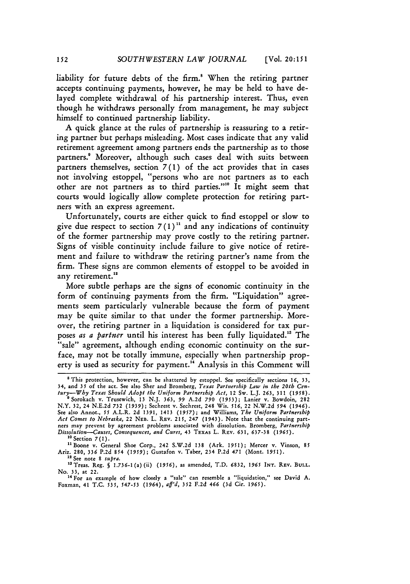liability for future debts of the firm. When the retiring partner accepts continuing payments, however, he may be held to have delayed complete withdrawal of his partnership interest. Thus, even though he withdraws personally from management, he may subject himself to continued partnership liability.

A quick glance at the rules of partnership is reassuring to a retiring partner but perhaps misleading. Most cases indicate that any valid retirement agreement among partners ends the partnership as to those partners.<sup>8</sup> Moreover, although such cases deal with suits between partners themselves, section 7 (1) of the act provides that in cases not involving estoppel, "persons who are not partners as to each other are not partners as to third parties."" It might seem that courts would logically allow complete protection for retiring partners with an express agreement.

Unfortunately, courts are either quick to find estoppel or slow to give due respect to section  $7(1)^{11}$  and any indications of continuity of the former partnership may prove costly to the retiring partner. Signs of visible continuity include failure to give notice of retirement and failure to withdraw the retiring partner's name from the firm. These signs are common elements of estoppel to be avoided in any retirement.<sup>12</sup>

More subtle perhaps are the signs of economic continuity in the form of continuing payments from the firm. "Liquidation" agreements seem particularly vulnerable because the form of payment may be quite similar to that under the former partnership. Moreover, the retiring partner in a liquidation is considered for tax purposes *as a partner* until his interest has been fully liquidated." The "sale" agreement, although ending economic continuity on the surface, may not be totally immune, especially when partnership property is used as security for payment.<sup>14</sup> Analysis in this Comment will

<sup>10</sup> Section 7(1).

**1** See note 8 *supra.*

"aTreas. Reg. **§** 1.736-1(a)(ii) *(1956),* as amended, T.D. **6832,** *1965* **INT.** REv. **BULL.**

No. **33,** at 22. **14** For an example of how closely a "sale" can resemble a "liquidation," see David A. Foxman, 41 T.C. *535, 547-53* (1964), *aff'd,* 352 F.2d 466 **(3d** Cir. *1965).*

<sup>&</sup>lt;sup>8</sup> This protection, however, can be shattered by estoppel. See specifically sections 16, 33,

<sup>34,</sup> and 35 of the act. See also Sher and Bromberg, Texas Partnership Law in the 20th Cen-<br>tury—Why Texas Should Adopt the Uniform Partnership Act, 12 Sw. L.J. 263, 311 (1958).<br><sup>9</sup> Sorokach v. Trusewich, 13 N.J. 363, 99 A.2 *Act Comes to Nebraska,* 22 NEB. L. REv. 215, 247 (1943). Note that the continuing partners may prevent by agreement problems associated with dissolution. Bromberg, *Partnership Dissolution-Causes, Consequences, and Cures,* 43 TEXAs L. **REV.** 631, **637-38** (1965). **<sup>1</sup>**

<sup>&</sup>lt;sup>11</sup> Boone v. General Shoe Corp., 242 S.W.2d 138 (Ark. 1951); Mercer v. Vinson, 85 Ariz. **280,** 336 P.2d 854 *(1959);* Gustafon v. Taber, 234 P.2d 471 (Mont. 1951).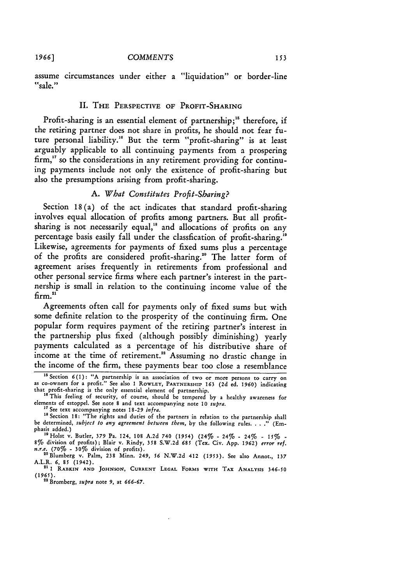*1966]*

assume circumstances under either a "liquidation" or border-line "sale."

#### II. THE PERSPECTIVE OF PROFIT-SHARING

Profit-sharing is an essential element of partnership;" therefore, if the retiring partner does not share in profits, he should not fear future personal liability. " But the term "profit-sharing" is at least arguably applicable to all continuing payments from a prospering firm," so the considerations in any retirement providing for continuing payments include not only the existence of profit-sharing but also the presumptions arising from profit-sharing.

## *A. What Constitutes Profit-Sharing?*

Section 18(a) of the act indicates that standard profit-sharing involves equal allocation of profits among partners. But all profitsharing is not necessarily equal,<sup>18</sup> and allocations of profits on any percentage basis easily fall under the classfication of profit-sharing." Likewise, agreements for payments of fixed sums plus a percentage of the profits are considered profit-sharing." The latter form of agreement arises frequently in retirements from professional and other personal service firms where each partner's interest in the partnership is small in relation to the continuing income value of the  $f_{\rm{erm}}$ .

Agreements often call for payments only of fixed sums but with some definite relation to the prosperity of the continuing firm. One popular form requires payment of the retiring partner's interest in the partnership plus fixed (although possibly diminishing) yearly payments calculated as a percentage of his distributive share of income at the time of retirement.<sup>22</sup> Assuming no drastic change in the income of the firm, these payments bear too close a resemblance

<sup>&</sup>quot;Section 6(l): "A partnership is an association of two or more persons to carry on as co-owners for a profit." See also **I ROWLEY,** PARTNERSHIP 163 **(2d** ed. **1960)** indicating that profit-sharing is the only essential element of partnership.

<sup>&</sup>quot; This feeling of security, of course, should be tempered **by** a healthy awareness **for** elements of estoppel. See note 8 and text accompanying note **10** *supra.*

**<sup>&</sup>quot;** See text accompanying notes **18-29** *infra.*

**Is** Section **18:** "The rights and duties of the partners in relation to the partnership shall be determined, *subject to any agreement between them*, by the following rules. . . ." (Emphasis added.)<br><sup>19</sup> Holst v. Butler, 379 Pa. 124, 108 A.2d 740 (1954) (24% - 24% - 24% - 15% -

<sup>19</sup>Hoist v. Butler, 379 Pa. 124, **108** A.2d 740 *(1954)* (24% - 24% - 24% - *151%* **-** 8% division of profits); Blair v. Rindy, *358* S.W.2d **685** (Tex. Civ. App. *1962) error ref.*

*n.r.e.* (70% - 30% division of profits).<br><sup>20</sup> Blumberg v. Palm, 238 Minn. 249, 56 N.W.2d 412 (1953). See also Annot., 137<br>A.L.R. 6, 85 (1942).

A.L.R. *6,* 85 (1942). **<sup>21</sup>**1 **RABKIN AND JOHNSON, CURRENT LEGAL** FORMS WITH TAX **ANALYSIS** *346-50 (1965).* 22 Bromberg, *supra* note 9, at *666-67.*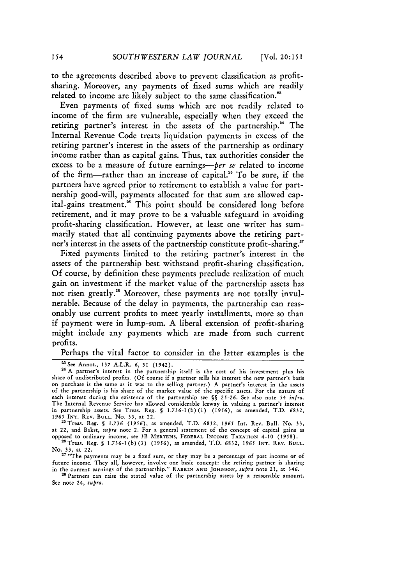to the agreements described above to prevent classification as profitsharing. Moreover, any payments of fixed sums which are readily related to income are likely subject to the same classification.<sup>23</sup>

Even payments of fixed sums which are not readily related to income of the firm are vulnerable, especially when they exceed the retiring partner's interest in the assets of the partnership.<sup>24</sup> The Internal Revenue Code treats liquidation payments in excess of the retiring partner's interest in the assets of the partnership as ordinary income rather than as capital gains. Thus, tax authorities consider the excess to be a measure of future earnings-per se related to income of the firm-rather than an increase of capital.<sup>25</sup> To be sure, if the partners have agreed prior to retirement to establish a value for partnership good-will, payments allocated for that sum are allowed capital-gains treatment.<sup>26</sup> This point should be considered long before retirement, and it may prove to be a valuable safeguard in avoiding profit-sharing classification. However, at least one writer has summarily stated that all continuing payments above the retiring partner's interest in the assets of the partnership constitute profit-sharing.<sup>27</sup>

Fixed payments limited to the retiring partner's interest in the assets of the partnership best withstand profit-sharing classification. **Of** course, **by** definition these payments preclude realization of much gain on investment if the market value of the partnership assets has not risen greatly." Moreover, these payments are not totally invulnerable. Because of the delay in payments, the partnership can reasonably use current profits to meet yearly installments, more so than if payment were in lump-sum. **A** liberal extension of profit-sharing might include any payments which are made from such current profits.

Perhaps the vital factor to consider in the latter examples is the

2aTreas. Reg. **§** *1.736 (1956),* as amended, T.D. **6832,** *1965* Int. Rev. Bull. No. 33, at 22, and Bakst, *supra* note 2. For a general statement of the concept **of** capital gains as opposed to ordinary income, see 3B MERTENS, FEDERAL **INCOME TAXATION 4-10 (1958).**

26Treas. Reg. *§* 1.736-1(b) **(3)** *(1956),* as amended, T.D. 6832, *1965* **INT.** REV. **BULL.** No. 33, at 22. **"** "The payments may be a fixed sum, or they may be a percentage of past income or of

future income. They all, however, involve one basic concept: the retiring partner is sharing<br>in the current earnings of the partnership." RABKIN AND JOHNSON, *supra* note 21, at 346.<br><sup>28</sup> Partners can raise the stated valu

See note 24, *supra.*

<sup>&</sup>lt;sup>23</sup> See Annot., 137 A.L.R. 6, 31 (1942).<br><sup>24</sup> A partner's interest in the partnership itself is the cost of his investment plus his share of undistributed profits. (Of course if a partner sells his interest the new partner's basis on purchase is the same as it was to the selling partner.) **A** partner's interest in the assets of the partnership is his share of the market value of the specific assets. For the nature of of the partnership is his share of the market value of the specific assets. For the nature of each interest during the existence of the partnership see §§ 25-26. See also note 54 *infra*. The Internal Revenue Service has allowed considerable leeway in valuing a partner's interest in partnership assets. See Treas. Reg. **§** 1.736-1 (b) **(1)** *(1956),* as amended, T.D. 6832, **1965** INT. REv. **BULL.** No. **33,** at 22.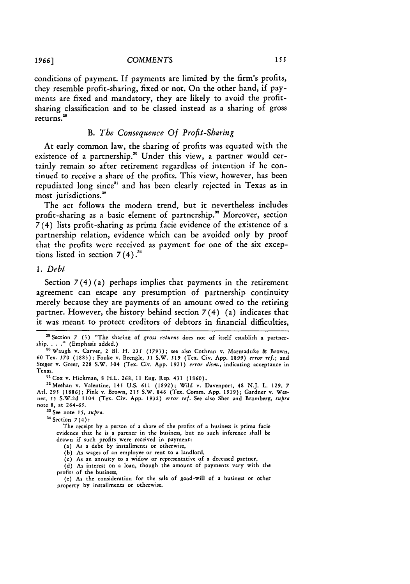conditions of payment. If payments are limited **by** the firm's profits, they resemble profit-sharing, fixed or not. On the other hand, if payments are fixed and mandatory, they are likely to avoid the profitsharing classification and to be classed instead as a sharing of gross returns.<sup>29</sup>

 $155$ 

#### *B. The Consequence Of Profit-Sharing*

At early common law, the sharing of profits was equated with the existence of a partnership.<sup>30</sup> Under this view, a partner would certainly remain so after retirement regardless of intention if he continued to receive a share of the profits. This view, however, has been repudiated long since<sup>31</sup> and has been clearly rejected in Texas as in most jurisdictions.<sup>32</sup>

The act follows the modern trend, but it nevertheless includes profit-sharing as a basic element of partnership.<sup>33</sup> Moreover, section *7* (4) lists profit-sharing as prima facie evidence of the existence of a partnership relation, evidence which can be avoided only **by** proof that the profits were received as payment for one of the six exceptions listed in section  $7(4)$ .<sup>34</sup>

#### *1. Debt*

Section *7* (4) (a) perhaps implies that payments in the retirement agreement can escape any presumption of partnership continuity merely because they are payments of an amount owed to the retiring partner. However, the history behind section 7(4) (a) indicates that it was meant to protect creditors of debtors in financial difficulties,

3 See note 15, *supra.* 34 Section 7(4):

The receipt by a person of a share of the profits of a business is prima facie evidence that he is a partner in the business, but no such inference shall be drawn if such profits were received in payment:

(a) As a debt by installments or otherwise,

(b) *As* wages of an employee or rent to a landlord,

(c) As an annuity to a widow or representative of a deceased partner,

(d) As interest on a loan, though the amount of payments vary with the profits of the business,

(e) As the consideration for the sale of good-will of a business or other property by installments or otherwise.

**<sup>2</sup>** Section **7** (3) "The sharing of *gross returns* does not of itself establish a partnership. . . ." (Emphasis added.) " Waugh v. Carver, 2 BI. H. **235 (1793);** see also Cothran v. Marmaduke **&** Brown,

<sup>60</sup> Tex. **370** (1883); Fouke v. Brengle, **51** S.W. **519** (Tex. Civ. App. 1899) *error ref.;* and Steger v. Greer, 228 S.W. 304 (Tex. Civ. App. 1921) *error dism.,* indicating acceptance in Texas.

<sup>31</sup> Cox v. Hickman, 8 H.L. 268, 11 Eng. Rep. 431 (1860)

<sup>&</sup>quot; <sup>2</sup> Meehan v. Valentine, 145 U.S. **611** (1892); Wild v. Davenport, 48 N.J. L. 129, 7 Atl. *295* (1886); Fink v. Brown, 215 S.W. 846 (Tex. Comm. App. 1919); Gardner v. Wesner, **55** S.W.2d 1104 (Tex. Civ. App. 1932) *error ref.* See also Sher and Bromberg, *supra* note 8, at 264-65.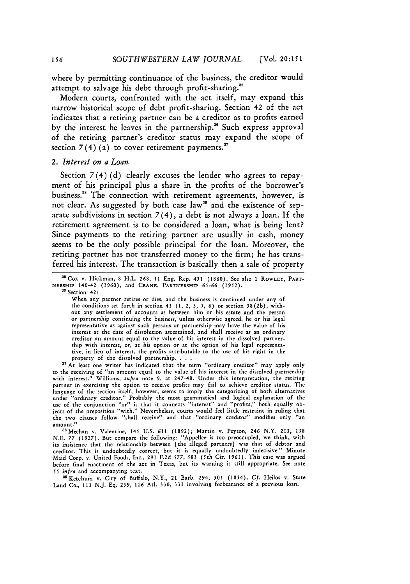where **by** permitting continuance of the business, the creditor would attempt to salvage his debt through profit-sharing."

Modern courts, confronted with the act itself, may expand this narrow historical scope of debt profit-sharing. Section 42 of the act indicates that a retiring partner can be a creditor as to profits earned **by** the interest he leaves in the partnership." Such express approval of the retiring partner's creditor status may expand the scope of section  $7(4)(a)$  to cover retirement payments.<sup>37</sup>

#### *2. Interest on a Loan*

Section  $7(4)(d)$  clearly excuses the lender who agrees to repayment of his principal plus a share in the profits of the borrower's business." The connection with retirement agreements, however, is not clear. As suggested by both case law<sup>39</sup> and the existence of separate subdivisions in section  $7(4)$ , a debt is not always a loan. If the retirement agreement is to be considered a loan, what is being lent? Since payments to the retiring partner are usually in cash, money seems to be the only possible principal for the loan. Moreover, the retiring partner has not transferred money to the firm; he has transferred his interest. The transaction is basically then a sale of property

When any partner retires or dies, and the business is continued under any of the conditions set forth in section 41 **(1,** 2, **3,** *5, 6)* or section 38(2b), without any settlement of accounts as between him or his estate and the person or partnership continuing the business, unless otherwise agreed, he or his legal representative as against such persons or partnership may have the value of his interest at the date of dissolution ascertained, and shall receive as an ordinary creditor an amount equal to the value of his interest in the dissolved partnership with interest, or, at his option or at the option of his legal representative, in lieu of interest, the profits attributable to the use of his right in the property of the dissolved partnership. . . .

<sup>37</sup> At least one writer has indicated that the term "ordinary creditor" may apply only to the receiving of "an amount equal to the value of his interest in the dissolved partnership with interest." Williams, *supra* note 9, at 247-48. Under this interpretation, the retiring partner in exercising the option to receive profits may fail to achieve creditor status. The language of the section itself, however, seems to imply the categorizing of both alternatives language of the section itself, however, seems to imply the categorizing of both alternatives under "ordinary creditor." Probably the most grammatical and logical explanation of **the** use of the conjunction "or" is that it connects "interest" and "profits," both equally objects of the preposition "with." Nevertheless, courts would feel little restraint in ruling that the two clauses follow "shall receive" and that "ordinary creditor" modifies only "an amount."

<sup>38</sup> Meehan v. Valentine, 145 U.S. 611 (1892); Martin v. Peyton, 246 N.Y. 213, 158<br>N.E. 77 (1927). But compare the following: "Appellee is too preoccupied, we think, with its insistence that the relationship between [the alleged partners] was that of debtor and creditor. This is undoubtedly correct, but it is equally undoubtedly indecisive." Minute Maid Corp. v. United Foods, Inc., 291 **F.2d** *577,* **583** (5th Cir. 1961). This case was argued before final enactment of the act in Texas, but its warning is still appropriate. See note *<sup>55</sup>infra* and accompanying text.

<sup>39</sup> Ketchum v. City of Buffalo, N.Y., 21 Barb. 294, 305 (1854). Cf. Heilos v. State Land Co., **113** N.J. Eq. **239, 116** AtI. **330, 331** involving forbearance of a previous loan.

**<sup>2</sup>** Cox v. Hickman, 8 H.L. 268, 11 Eng. Rep. 431 (1860). See also 1 ROWLEY, PART-NERSHIP 140-42 (1960), and **CRANE,** PARTNERSHIP *65-66 (1952).* **<sup>36</sup>**Section 42: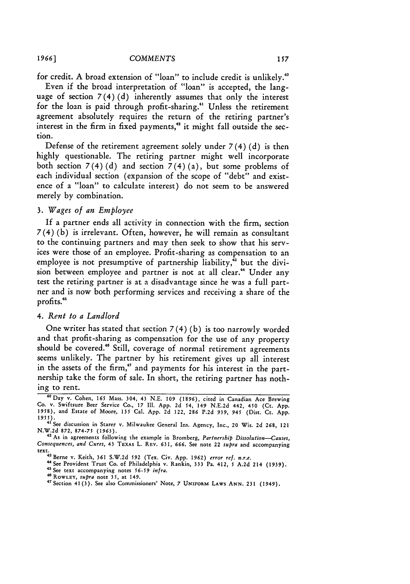for credit. A broad extension of "loan" to include credit is unlikely.

Even if the broad interpretation of "loan" is accepted, the language of section  $7(4)(d)$  inherently assumes that only the interest for the loan is paid through profit-sharing." Unless the retirement agreement absolutely requires the return of the retiring partner's interest in the firm in fixed payments,<sup>42</sup> it might fall outside the section.

Defense of the retirement agreement solely under  $7(4)(d)$  is then highly questionable. The retiring partner might well incorporate both section  $7(4)(d)$  and section  $7(4)(a)$ , but some problems of each individual section (expansion of the scope of "debt" and existence of a "loan" to calculate interest) do not seem to be answered merely by combination.

## *3. Wages of an Employee*

If a partner ends all activity in connection with the firm, section 7(4) (b) is irrelevant. Often, however, he will remain as consultant to the continuing partners and may then seek to show that his services were those of an employee. Profit-sharing as compensation to an employee is not presumptive of partnership liability, $\frac{1}{3}$  but the division between employee and partner is not at all clear." Under any test the retiring partner is at a disadvantage since he was a full partner and is now both performing services and receiving a share of the profits.<sup>45</sup>

#### *4. Rent to a Landlord*

One writer has stated that section  $7(4)(b)$  is too narrowly worded and that profit-sharing as compensation for the use of any property should be covered.<sup>46</sup> Still, coverage of normal retirement agreements seems unlikely. The partner by his retirement gives up all interest in the assets of the firm," and payments for his interest in the partnership take the form of sale. In short, the retiring partner has nothing to rent.

*1966]*

**<sup>40</sup>Day** v. Cohen, **165** Mass. 304, 43 N.E. *109* (1896), cited in Canadian Ace Brewing Co. v. Swiftsure Beer Service Co., 17 Il. App. 2d 54, 149 N.E.2d 442, 450 (Ct. **App. 1958),** and Estate of Moore, **135** Cal. App. 2d 122, **286** P.2d *939, 945* (Dist. Ct. App. *1955).* **41** See discussion in Starer v. Milwaukee General Ins. Agency, Inc., 20 Wis. 2d 268, 121

N.W.2d **872, 874-75 (1963).**

<sup>&</sup>lt;sup>42</sup> As in agreements following the example in Bromberg, *Partnership Dissolution-Causes*, *Consequences, and Cures,* 43 TEXAs L. **REV.** 631, **666.** See note 22 *supra* and accompanying text.<br><sup>43</sup> Berne v. Keith, 361 S.W.2d 592 (Tex. Civ. App. 1962) *error ref. n.r.e.*<br>13 **Denver Press** 113 **Denver August** 113 **Particular 113 Particular 113 Particular 113 Particular 113 Particular 113 Particular** 

<sup>44</sup> See Provident Trust Co. of Philadelphia v. Rankin, 333 Pa. 412, 5 A.2d 214 (1939).

S See text accompanying notes *56-59 infra.*

<sup>4</sup>**ROWLEY,** *supra* note **35,** at 149. **<sup>47</sup>**

<sup>&</sup>lt;sup>47</sup> Section 41(3). See also Commissioners' Note, 7 UNIFORM LAWS ANN. 231 (1949).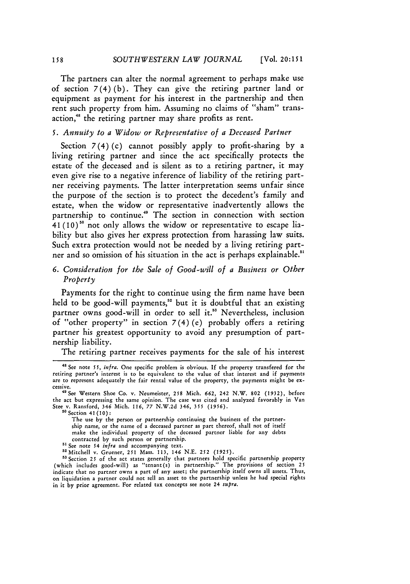The partners can alter the normal agreement to perhaps make use of section  $7(4)(b)$ . They can give the retiring partner land or equipment as payment for his interest in the partnership and then rent such property from him. Assuming no claims of "sham" transaction,<sup>48</sup> the retiring partner may share profits as rent.

#### *5. Annuity to a Widow or Representative of a Deceased Partner*

Section  $7(4)(c)$  cannot possibly apply to profit-sharing by a living retiring partner and since the act specifically protects the estate of the deceased and is silent as to a retiring partner, it may even give rise to a negative inference of liability of the retiring partner receiving payments. The latter interpretation seems unfair since the purpose of the section is to protect the decedent's family and estate, when the widow or representative inadvertently allows the partnership to continue." The section in connection with section  $41(10)$ <sup>50</sup> not only allows the widow or representative to escape liability but also gives her express protection from harassing law suits. Such extra protection would not be needed by a living retiring partner and so omission of his situation in the act is perhaps explainable.<sup>51</sup>

# *6. Consideration for the Sale of Good-will of a Business or Other Property*

Payments for the right to continue using the firm name have been held to be good-will payments,<sup>52</sup> but it is doubtful that an existing partner owns good-will in order to sell it.<sup>33</sup> Nevertheless, inclusion of "other property" in section  $7(4)$  (e) probably offers a retiring partner his greatest opportunity to avoid any presumption of partnership liability.

The retiring partner receives payments for the sale of his interest

<sup>48</sup>**See** note *55,* infra. One specific problem is obvious. **If** the property transfered for the retiring partner's interest is to be equivalent to the value of that interest and if payments are to represent adequately the fair rental value of the property, the payments might be excessive. " See Western Shoe Co. v. Neumeister, **258** Mich. **662,** 242 N.W. **802** (1932), before

the act but expressing the same opinion. The case was cited and analyzed favorably in Van Stee v. Ransford, 346 Mich. 116, **77** N.W.2d 346, *355 (1956).* **<sup>5</sup> o** Section 41 (10) **:**

The use by the person or partnership continuing the business of the partnership name, or the name of a deceased partner as part thereof, shall not of itself make the individual property of the deceased partner liable for any debts contracted by such person or partnership.<br><sup>51</sup> See note 54 *infra* and accompanying text.

<sup>&</sup>lt;sup>51</sup> See note 54 *infra* and accompanying text.<br><sup>52</sup> Mitchell v. Gruener, 251 Mass. 113, 146 N.E. 252 (1925).

sation **25** of the act states generally that **202** (1927).<br><sup>53</sup> Section 25 of the act states generally that partners hold specific partnership property (which includes good-will) as "tenant(s) in partnership." The provisions **of** section **25** indicate that no partner owns a part of any asset; the partnership itself owns all assets. Thus, on liquidation a partner could not sell an asset to the partnership unless he had special rights in it **by** prior agreement. For related tax concepts see note 24 *supra.*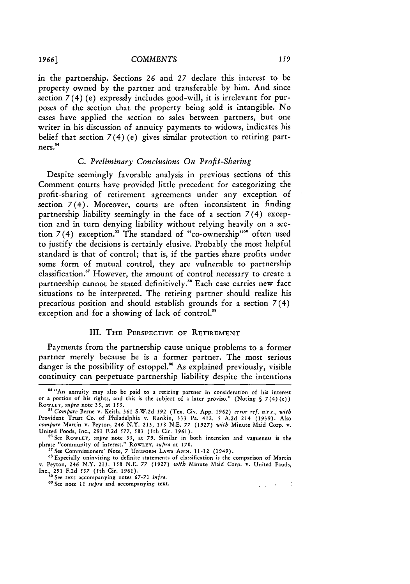in the partnership. Sections 26 and **27** declare this interest to be property owned by the partner and transferable by him. And since section 7(4) (e) expressly includes good-will, it is irrelevant for purposes of the section that the property being sold is intangible. No cases have applied the section to sales between partners, but one writer in his discussion of annuity payments to widows, indicates his belief that section 7(4) (e) gives similar protection to retiring partners.

#### *C. Preliminary Conclusions On Profit-Sharing*

Despite seemingly favorable analysis in previous sections of this Comment courts have provided little precedent for categorizing the profit-sharing of retirement agreements under any exception of section 7(4). Moreover, courts are often inconsistent in finding partnership liability seemingly in the face of a section 7(4) exception and in turn denying liability without relying heavily on a section 7(4) exception.<sup>55</sup> The standard of "co-ownership"<sup>56</sup> often used to justify the decisions is certainly elusive. Probably the most helpful standard is that of control; that is, if the parties share profits under some form of mutual control, they are vulnerable to partnership classification." However, the amount of control necessary to create a partnership cannot be stated definitively." Each case carries new fact situations to be interpreted. The retiring partner should realize his precarious position and should establish grounds for a section 7(4) exception and for a showing of lack of control.<sup>59</sup>

#### III. THE PERSPECTIVE OF RETIREMENT

Payments from the partnership cause unique problems to a former partner merely because he is a former partner. The most serious danger is the possibility of estoppel." As explained previously, visible continuity can perpetuate partnership liability despite the intentions

58 Especially uninviting to definite statements of classification is the comparison of Martin v. Peyton, 246 N.Y. 213, 158 N.E. 77 (1927) with Minute Maid Corp. v. United Foods,<br>Inc., 291 F.2d 557 (5th Cir. 1961).<br><sup>89</sup> See text accompanying notes 67-71 *infra*.<br><sup>60</sup> See text accompanying notes text

 $\gamma$  ,  $\gamma$  ,  $\gamma$  ,  $\gamma$  ,  $\gamma$ 

<sup>4&</sup>quot;An annuity may also be paid to a retiring partner in consideration **of** his interest **or a** portion of his rights, and this is the subject of a later proviso." (Noting **§** 7(4)(e)) ROWLEY, *supra* note 3 **5,** at **155.**

*<sup>&</sup>quot; Compare* Berne v. Keith, **361** S.W.2d *592* (Tex. Civ. App. **1962)** *error ref. n.r.e., with* Provident Trust Co. of Philadelphia v. Rankin, 333 Pa. 412, **5** A.2d 214 (1939). Also *compare* Martin v. Peyton, 246 N.Y. 213, **158** N.E. *77* (1927) *with* Minute Maid Corp. v. United Foods, Inc., 291 F.2d 577, **583** (5th Cir. 1961).

<sup>&</sup>lt;sup>56</sup> See RowLEY, *supra* note 35, at 79. Similar in both intention and vagueness is the phrase "community of interest." ROWLEY, *supra* at 170. "See Commissioners' Note, 7 UNIFORM LAWS ANN. 11-12 (1949).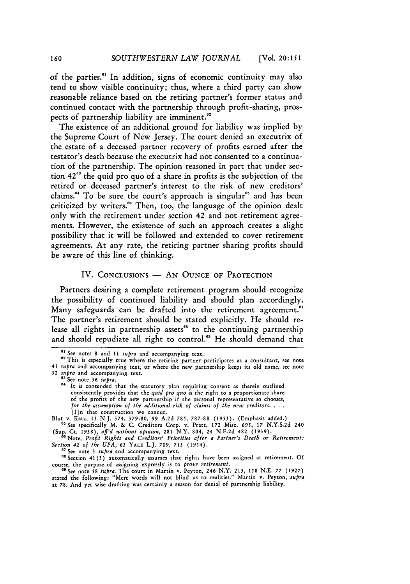of the parties.61 In addition, signs of economic continuity may also tend to show visible continuity; thus, where a third party can show reasonable reliance based on the retiring partner's former status and continued contact with the partnership through profit-sharing, prospects of partnership liability are **imminent."**

The existence of an additional ground for liability was implied **by** the Supreme Court of New Jersey. The court denied an executrix of the estate of a deceased partner recovery of profits earned after the testator's death because the executrix had not consented to a continuation of the partnership. The opinion reasoned in part that under section **4263** the quid pro quo of a share in profits is the subjection of the retired or deceased partner's interest to the risk of new creditors' claims.<sup>64</sup> To be sure the court's approach is singular<sup>65</sup> and has been criticized **by** writers." Then, too, the language of the opinion dealt only with the retirement under section 42 and not retirement agreements. However, the existence of such an approach creates a slight possibility that it will be followed and extended to cover retirement agreements. At any rate, the retiring partner sharing profits should be aware of this line of thinking.

#### IV. CONCLUSIONS - AN OUNCE OF PROTECTION

Partners desiring a complete retirement program should recognize the possibility of continued liability and should plan accordingly. Many safeguards can be drafted into the retirement agreement.<sup>67</sup> The partner's retirement should be stated explicitly. He should release all rights in partnership assets" to the continuing partnership and should repudiate all right to control."' He should demand that

<sup>&</sup>lt;sup>61</sup> See notes 8 and 11 supra and accompanying text.

**<sup>62</sup>** This is especially true where the retiring partner participates as a consultant, see note 45 *supra* and accompanying text, or where the new partnership keeps its old name, see note

**<sup>52</sup>***supra* and accompanying text. **<sup>63</sup>**See note **36** *supra.*

**<sup>64</sup>**It is contended that the statutory plan requiring consent as therein outlined consistently provides that the *quid pro quo* is the right to a proportionate share of the profits of the new partnership if the personal representative so chooses, *for the assumption of the additional risk of claims of the new* creditors **...** [I]n that construction we concur.

Blut v. Katz, 13 N.J. 374, 379-80, **99** A.2d 785, 787-88 (1953). (Emphasis added.) "sSee specifically M. & C. Creditors Corp. v. Pratt, 172 Misc. **695,** 17 N.Y.S.2d 240 (Sup. Ct. 1938), aff'd without opinion, 281 N.Y. 804, 24 N.E.2d 482 (1939)

<sup>&</sup>lt;sup>68</sup> Note, Profit Rights and Creditors' Priorities after a Partner's Death or Retirement: **Section 42 of the UPA, 63 YALE L.J. 709, 713 (1954).** <sup>67</sup> See note 3 *supra* and accompanying text. <sup>68</sup> Section 41(3) automatically assumes that rights have been assigned at retirement. Of

course, the purpose of assigning expressly is to *prove* retirement.

**<sup>69</sup>**See note **58** *supra.* The court in Martin v. Peyton, 246 N.Y. 213, 158 N.E. 77 (1927) stated the following: "Mere words will not blind us to realities." Martin v. Peyton, *supra* at 78. And yet wise drafting was certainly a reason for denial of partnership liability.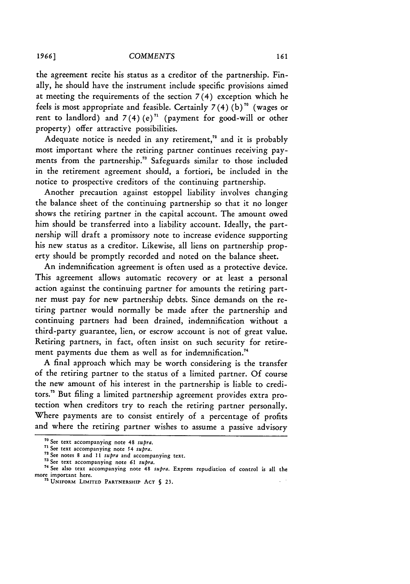the agreement recite his status as a creditor of the partnership. Finally, he should have the instrument include specific provisions aimed at meeting the requirements of the section **7** (4) exception which he feels is most appropriate and feasible. Certainly  $7(4)$  (b)<sup>70</sup> (wages or rent to landlord) and  $7(4)$  (e)<sup> $n$ </sup> (payment for good-will or other property) offer attractive possibilities.

Adequate notice is needed in any retirement," and it is probably most important where the retiring partner continues receiving payments from the partnership." Safeguards similar to those included in the retirement agreement should, a fortiori, be included in the notice to prospective creditors of the continuing partnership.

Another precaution against estoppel liability involves changing the balance sheet of the continuing partnership so that it no longer shows the retiring partner in the capital account. The amount owed him should be transferred into a liability account. Ideally, the partnership will draft a promissory note to increase evidence supporting his new status as a creditor. Likewise, all liens on partnership property should be promptly recorded and noted on the balance sheet.

An indemnification agreement is often used as a protective device. This agreement allows automatic recovery or at least a personal action against the continuing partner for amounts the retiring partner must pay for new partnership debts. Since demands on the retiring partner would normally be made after the partnership and continuing partners had been drained, indemnification without a third-party guarantee, lien, or escrow account is not of great value. Retiring partners, in fact, often insist on such security for retirement payments due them as well as for indemnification.<sup>74</sup>

A final approach which may be worth considering is the transfer of the retiring partner to the status of a limited partner. Of course the new amount of his interest in the partnership is liable to creditors.<sup>75</sup> But filing a limited partnership agreement provides extra protection when creditors try to reach the retiring partner personally. Where payments are to consist entirely of a percentage of profits and where the retiring partner wishes to assume a passive advisory

**<sup>70</sup>** See text accompanying note 48 *supra.*

**<sup>71</sup>**See text accompanying note 54 *supra.* **<sup>72</sup>**See notes 8 and **11** *supra* and accompanying text.

**<sup>73</sup>** See text accompanying note *61 supra.*

**<sup>&#</sup>x27;** See also text accompanying note 48 *supra.* Express repudiation of control is all the more important here. **"** UNIFORM LIMITED PARTNERSHIP **ACT** § **23.**